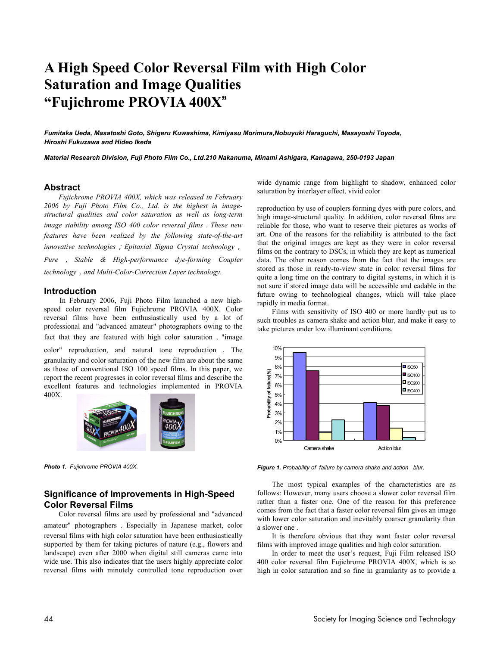# **A High Speed Color Reversal Film with High Color Saturation and Image Qualities "Fujichrome PROVIA 400X**"

*Fumitaka Ueda, Masatoshi Goto, Shigeru Kuwashima, Kimiyasu Morimura,Nobuyuki Haraguchi, Masayoshi Toyoda, Hiroshi Fukuzawa and Hideo Ikeda* 

*Material Research Division, Fuji Photo Film Co., Ltd.210 Nakanuma, Minami Ashigara, Kanagawa, 250-0193 Japan* 

# **Abstract**

*Fujichrome PROVIA 400X, which was released in February 2006 by Fuji Photo Film Co., Ltd. is the highest in imagestructural qualities and color saturation as well as long-term image stability among ISO 400 color reversal films*.*These new features have been realized by the following state-of-the-art innovative technologies*;*Epitaxial Sigma Crystal technology*,

*Pure* , *Stable & High-performance dye-forming Coupler technology*,*and Multi-Color-Correction Layer technology.*

# **Introduction**

In February 2006, Fuji Photo Film launched a new highspeed color reversal film Fujichrome PROVIA 400X. Color reversal films have been enthusiastically used by a lot of professional and "advanced amateur" photographers owing to the fact that they are featured with high color saturation, "image

color" reproduction, and natural tone reproduction . The granularity and color saturation of the new film are about the same as those of conventional ISO 100 speed films. In this paper, we report the recent progresses in color reversal films and describe the excellent features and technologies implemented in PROVIA 400X.



*Photo 1. Fujichrome PROVIA 400X.*

# **Significance of Improvements in High-Speed Color Reversal Films**

Color reversal films are used by professional and "advanced amateur" photographers.Especially in Japanese market, color reversal films with high color saturation have been enthusiastically supported by them for taking pictures of nature (e.g., flowers and landscape) even after 2000 when digital still cameras came into wide use. This also indicates that the users highly appreciate color reversal films with minutely controlled tone reproduction over

wide dynamic range from highlight to shadow, enhanced color saturation by interlayer effect, vivid color

reproduction by use of couplers forming dyes with pure colors, and high image-structural quality. In addition, color reversal films are reliable for those, who want to reserve their pictures as works of art. One of the reasons for the reliability is attributed to the fact that the original images are kept as they were in color reversal films on the contrary to DSCs, in which they are kept as numerical data. The other reason comes from the fact that the images are stored as those in ready-to-view state in color reversal films for quite a long time on the contrary to digital systems, in which it is not sure if stored image data will be accessible and eadable in the future owing to technological changes, which will take place rapidly in media format.

Films with sensitivity of ISO 400 or more hardly put us to such troubles as camera shake and action blur, and make it easy to take pictures under low illuminant conditions.



*Figure 1. Probability of failure by camera shake and action blur.*

The most typical examples of the characteristics are as follows: However, many users choose a slower color reversal film rather than a faster one. One of the reason for this preference comes from the fact that a faster color reversal film gives an image with lower color saturation and inevitably coarser granularity than a slower one .

It is therefore obvious that they want faster color reversal films with improved image qualities and high color saturation.

In order to meet the user's request, Fuji Film released ISO 400 color reversal film Fujichrome PROVIA 400X, which is so high in color saturation and so fine in granularity as to provide a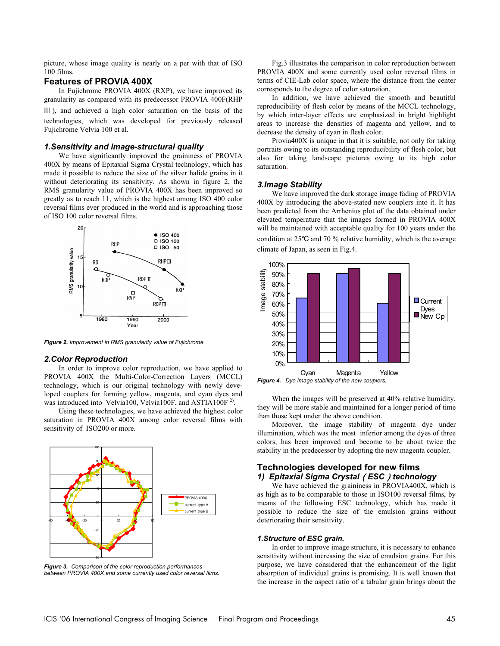picture, whose image quality is nearly on a per with that of ISO 100 films.

# **Features of PROVIA 400X**

In Fujichrome PROVIA 400X (RXP), we have improved its granularity as compared with its predecessor PROVIA 400F(RHP Ⅲ ), and achieved a high color saturation on the basis of the technologies, which was developed for previously released Fujichrome Velvia 100 et al.

# *1.Sensitivity and image-structural quality*

We have significantly improved the graininess of PROVIA 400X by means of Epitaxial Sigma Crystal technology, which has made it possible to reduce the size of the silver halide grains in it without deteriorating its sensitivity. As shown in figure 2, the RMS granularity value of PROVIA 400X has been improved so greatly as to reach 11, which is the highest among ISO 400 color reversal films ever produced in the world and is approaching those of ISO 100 color reversal films.



*Figure 2. Improvement in RMS granularity value of Fujichrome* 

#### *2.Color Reproduction*

In order to improve color reproduction, we have applied to PROVIA 400X the Multi-Color-Correction Layers (MCCL) technology, which is our original technology with newly developed couplers for forming yellow, magenta, and cyan dyes and was introduced into Velvia100, Velvia100F, and ASTIA100F<sup>2)</sup>.

Using these technologies, we have achieved the highest color saturation in PROVIA 400X among color reversal films with sensitivity of ISO200 or more.



*Figure 3. Comparison of the color reproduction performances between PROVIA 400X and some currently used color reversal films.* 

Fig.3 illustrates the comparison in color reproduction between PROVIA 400X and some currently used color reversal films in terms of CIE-Lab color space, where the distance from the center corresponds to the degree of color saturation.

In addition, we have achieved the smooth and beautiful reproducibility of flesh color by means of the MCCL technology, by which inter-layer effects are emphasized in bright highlight areas to increase the densities of magenta and yellow, and to decrease the density of cyan in flesh color.

Provia400X is unique in that it is suitable, not only for taking portraits owing to its outstanding reproducibility of flesh color, but also for taking landscape pictures owing to its high color saturation.

#### *3.Image Stability*

We have improved the dark storage image fading of PROVIA 400X by introducing the above-stated new couplers into it. It has been predicted from the Arrhenius plot of the data obtained under elevated temperature that the images formed in PROVIA 400X will be maintained with acceptable quality for 100 years under the condition at 25℃ and 70 % relative humidity, which is the average climate of Japan, as seen in Fig.4.



*Figure 4. Dye image stability of the new couplers.* 

When the images will be preserved at 40% relative humidity, they will be more stable and maintained for a longer period of time than those kept under the above condition.

Moreover, the image stability of magenta dye under illumination, which was the most inferior among the dyes of three colors, has been improved and become to be about twice the stability in the predecessor by adopting the new magenta coupler.

# **Technologies developed for new films**  *1) Epitaxial Sigma Crystal*(*ESC*)*technology*

We have achieved the graininess in PROVIA400X, which is as high as to be comparable to those in ISO100 reversal films, by means of the following ESC technology, which has made it possible to reduce the size of the emulsion grains without deteriorating their sensitivity.

#### *1.Structure of ESC grain.*

In order to improve image structure, it is necessary to enhance sensitivity without increasing the size of emulsion grains. For this purpose, we have considered that the enhancement of the light absorption of individual grains is promising. It is well known that the increase in the aspect ratio of a tabular grain brings about the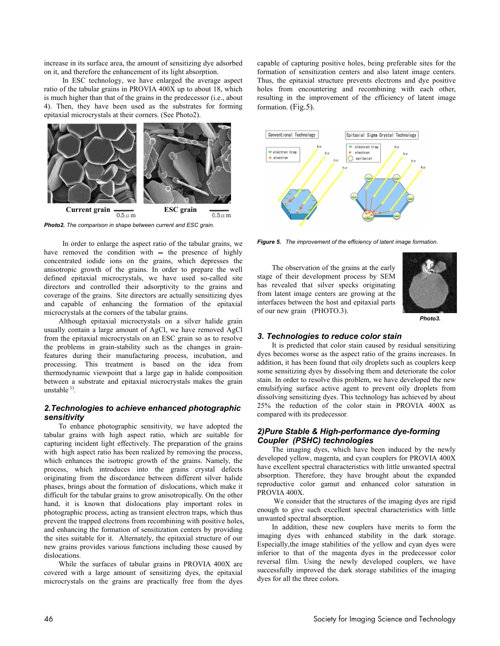increase in its surface area, the amount of sensitizing dye adsorbed on it, and therefore the enhancement of its light absorption.

 In ESC technology, we have enlarged the average aspect ratio of the tabular grains in PROVIA 400X up to about 18, which is much higher than that of the grains in the predecessor (i.e., about 4). Then, they have been used as the substrates for forming epitaxial microcrystals at their corners. (See Photo2).



*Photo2. The comparison in shape between current and ESC grain.* 

 In order to enlarge the aspect ratio of the tabular grains, we have removed the condition with  $=$  the presence of highly concentrated iodide ions on the grains, which depresses the anisotropic growth of the grains. In order to prepare the well defined epitaxial microcrystals, we have used so-called site directors and controlled their adsorptivity to the grains and coverage of the grains. Site directors are actually sensitizing dyes and capable of enhancing the formation of the epitaxial microcrystals at the corners of the tabular grains.

Although epitaxial microcrystals on a silver halide grain usually contain a large amount of AgCl, we have removed AgCl from the epitaxial microcrystals on an ESC grain so as to resolve the problems in grain-stability such as the changes in grainfeatures during their manufacturing process, incubation, and processing. This treatment is based on the idea from thermodynamic viewpoint that a large gap in halide composition between a substrate and epitaxial microcrystals makes the grain unstable  $^{1)}$ .

# *2.Technologies to achieve enhanced photographic sensitivity*

To enhance photographic sensitivity, we have adopted the tabular grains with high aspect ratio, which are suitable for capturing incident light effectively. The preparation of the grains with high aspect ratio has been realized by removing the process, which enhances the isotropic growth of the grains. Namely, the process, which introduces into the grains crystal defects originating from the discordance between different silver halide phases, brings about the formation of dislocations, which make it difficult for the tabular grains to grow anisotropically. On the other hand, it is known that dislocations play important roles in photographic process, acting as transient electron traps, which thus prevent the trapped electrons from recombining with positive holes, and enhancing the formation of sensitization centers by providing the sites suitable for it. Alternately, the epitaxial structure of our new grains provides various functions including those caused by dislocations.

While the surfaces of tabular grains in PROVIA 400X are covered with a large amount of sensitizing dyes, the epitaxial microcrystals on the grains are practically free from the dyes capable of capturing positive holes, being preferable sites for the formation of sensitization centers and also latent image centers. Thus, the epitaxial structure prevents electrons and dye positive holes from encountering and recombining with each other, resulting in the improvement of the efficiency of latent image formation. (Fig.5).



*Figure 5. The improvement of the efficiency of latent image formation.*

The observation of the grains at the early stage of their development process by SEM has revealed that silver specks originating from latent image centers are growing at the interfaces between the host and epitaxial parts of our new grain (PHOTO.3).



*Photo3.*

# *3. Technologies to reduce color stain*

It is predicted that color stain caused by residual sensitizing dyes becomes worse as the aspect ratio of the grains increases. In addition, it has been found that oily droplets such as couplers keep some sensitizing dyes by dissolving them and deteriorate the color stain. In order to resolve this problem, we have developed the new emulsifying surface active agent to prevent oily droplets from dissolving sensitizing dyes. This technology has achieved by about 25% the reduction of the color stain in PROVIA 400X as compared with its predecessor.

# *2)Pure Stable & High-performance dye-forming Coupler (PSHC) technologies*

The imaging dyes, which have been induced by the newly developed yellow, magenta, and cyan couplers for PROVIA 400X have excellent spectral characteristics with little unwanted spectral absorption. Therefore, they have brought about the expanded reproductive color gamut and enhanced color saturation in PROVIA 400X.

 We consider that the structures of the imaging dyes are rigid enough to give such excellent spectral characteristics with little unwanted spectral absorption.

In addition, these new couplers have merits to form the imaging dyes with enhanced stability in the dark storage. Especially,the image stabilities of the yellow and cyan dyes were inferior to that of the magenta dyes in the predecessor color reversal film. Using the newly developed couplers, we have successfully improved the dark storage stabilities of the imaging dyes for all the three colors.